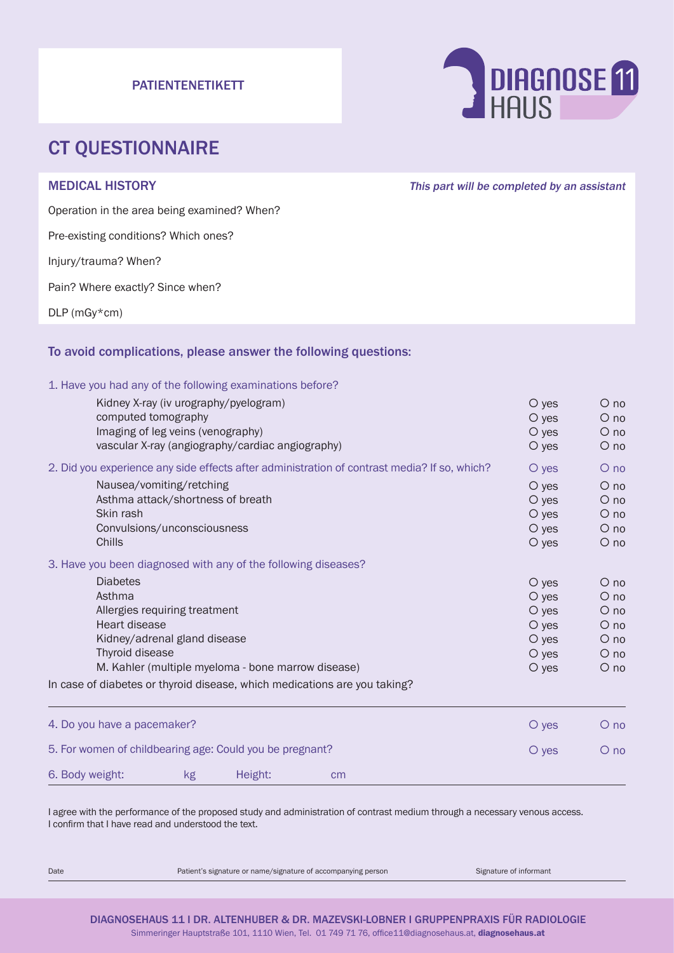#### PATIENTENETIKETT



## CT QUESTIONNAIRE

MEDICAL HISTORY **This part will be completed by an assistant** 

Operation in the area being examined? When?

Pre-existing conditions? Which ones?

Injury/trauma? When?

Pain? Where exactly? Since when?

DLP (mGy\*cm)

#### To avoid complications, please answer the following questions:

1. Have you had any of the following examinations before?

| Kidney X-ray (iv urography/pyelogram)<br>computed tomography<br>Imaging of leg veins (venography)<br>vascular X-ray (angiography/cardiac angiography)                                                                                                             | $\circ$ yes<br>$O$ yes<br>$O$ yes<br>O yes                                  | $O$ no<br>$O$ no<br>$\circ$ no<br>$O$ no                                           |
|-------------------------------------------------------------------------------------------------------------------------------------------------------------------------------------------------------------------------------------------------------------------|-----------------------------------------------------------------------------|------------------------------------------------------------------------------------|
| 2. Did you experience any side effects after administration of contrast media? If so, which?                                                                                                                                                                      | O yes                                                                       | $O$ no                                                                             |
| Nausea/vomiting/retching<br>Asthma attack/shortness of breath<br>Skin rash<br>Convulsions/unconsciousness<br>Chills                                                                                                                                               | $\circ$ yes<br>$O$ yes<br>$O$ yes<br>O yes<br>$\circ$ yes                   | $O$ no<br>$\circ$ no<br>$O$ no<br>$\circ$ no<br>$\circ$ no                         |
| 3. Have you been diagnosed with any of the following diseases?                                                                                                                                                                                                    |                                                                             |                                                                                    |
| <b>Diabetes</b><br>Asthma<br>Allergies requiring treatment<br>Heart disease<br>Kidney/adrenal gland disease<br>Thyroid disease<br>M. Kahler (multiple myeloma - bone marrow disease)<br>In case of diabetes or thyroid disease, which medications are you taking? | O yes<br>$O$ yes<br>$O$ yes<br>$O$ yes<br>$O$ yes<br>$O$ yes<br>$\circ$ yes | $O$ no<br>$O$ no<br>$\circ$ no<br>$\circ$ no<br>$O$ no<br>$\circ$ no<br>$\circ$ no |
|                                                                                                                                                                                                                                                                   |                                                                             |                                                                                    |
| 4. Do you have a pacemaker?                                                                                                                                                                                                                                       | $O$ yes                                                                     | $O$ no                                                                             |
| 5. For women of childbearing age: Could you be pregnant?                                                                                                                                                                                                          | $\circ$ yes                                                                 | $O$ no                                                                             |
| 6. Body weight:<br>Height:<br>kg<br>cm                                                                                                                                                                                                                            |                                                                             |                                                                                    |

I agree with the performance of the proposed study and administration of contrast medium through a necessary venous access. I confirm that I have read and understood the text.

Date **Patient's signature or name/signature of accompanying person** Signature of informant